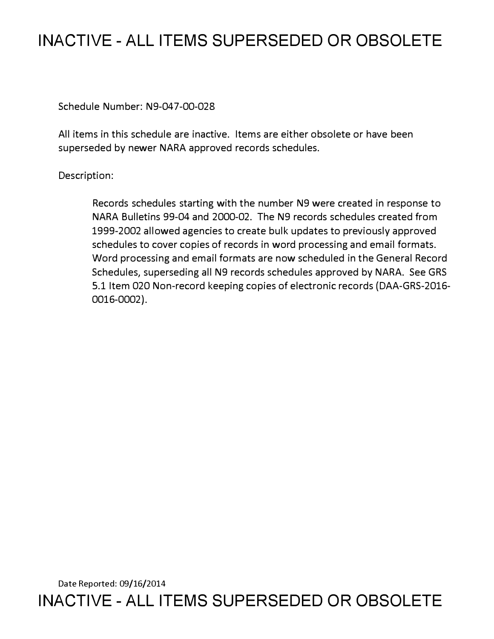# **INACTIVE - ALL ITEMS SUPERSEDED OR OBSOLETE**

Schedule Number: N9-047-00-028

All items in this schedule are inactive. Items are either obsolete or have been superseded by newer NARA approved records schedules.

## Description:

Records schedules starting with the number N9 were created in response to NARA Bulletins 99-04 and 2000-02. The N9 records schedules created from 1999-2002 allowed agencies to create bulk updates to previously approved schedules to cover copies of records in word processing and email formats. Word processing and email formats are now scheduled in the General Record Schedules, superseding all N9 records schedules approved by NARA. See GRS 5.1 Item 020 Non-record keeping copies of electronic records (DAA-GRS-2016- 0016-0002).

Date Reported: 09/16/2014 **INACTIVE - ALL ITEMS SUPERSEDED OR OBSOLETE**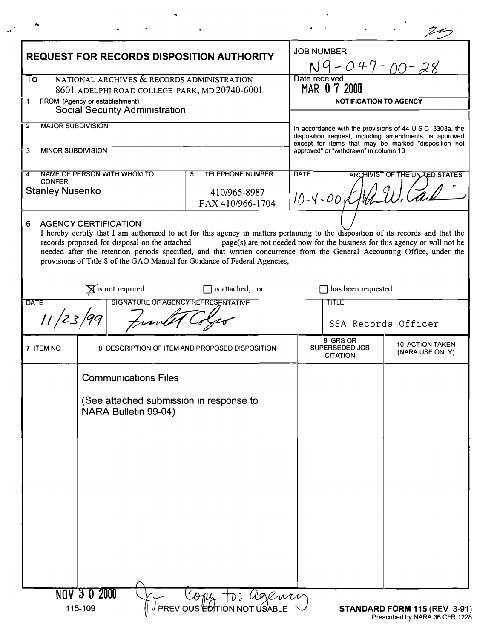| <b>REQUEST FOR RECORDS DISPOSITION AUTHORITY</b><br>To<br>NATIONAL ARCHIVES & RECORDS ADMINISTRATION<br>8601 ADELPHI ROAD COLLEGE PARK, MD 20740-6001 |                                                                              |                                                                                                                                                                                                                                                                                                                                            | <b>JOB NUMBER</b><br><u>N9-047-00-28</u>                                                                                                                                               |                                    |
|-------------------------------------------------------------------------------------------------------------------------------------------------------|------------------------------------------------------------------------------|--------------------------------------------------------------------------------------------------------------------------------------------------------------------------------------------------------------------------------------------------------------------------------------------------------------------------------------------|----------------------------------------------------------------------------------------------------------------------------------------------------------------------------------------|------------------------------------|
|                                                                                                                                                       |                                                                              |                                                                                                                                                                                                                                                                                                                                            | Date received<br>MAR 0 7 2000                                                                                                                                                          |                                    |
| FROM (Agency or establishment)<br>$\mathbf 1$<br><b>Social Security Administration</b>                                                                |                                                                              | <b>NOTIFICATION TO AGENCY</b>                                                                                                                                                                                                                                                                                                              |                                                                                                                                                                                        |                                    |
| <b>MAJOR SUBDIVISION</b><br>2                                                                                                                         |                                                                              |                                                                                                                                                                                                                                                                                                                                            | In accordance with the provisions of $44 \cup S \subset 3303a$ , the<br>disposition request, including amendments, is approved<br>except for items that may be marked "disposition not |                                    |
|                                                                                                                                                       | <b>MINOR SUBDIVISION</b>                                                     |                                                                                                                                                                                                                                                                                                                                            | approved" or "withdrawn" in column 10                                                                                                                                                  |                                    |
| NAME OF PERSON WITH WHOM TO<br><b>TELEPHONE NUMBER</b><br>5.<br>4<br><b>CONFER</b><br><b>Stanley Nusenko</b><br>410/965-8987<br>FAX 410/966-1704      |                                                                              | <b>DATE</b><br>ARCHIVIST OF THE UN ZED STATES<br>$10 - 4 - 001$                                                                                                                                                                                                                                                                            |                                                                                                                                                                                        |                                    |
| 6.                                                                                                                                                    | <b>AGENCY CERTIFICATION</b><br>records proposed for disposal on the attached | I hereby certify that I am authorized to act for this agency in matters pertaining to the disposition of its records and that the<br>needed after the retention periods specified, and that written concurrence from the General Accounting Office, under the<br>provisions of Title 8 of the GAO Manual for Guidance of Federal Agencies, | page(s) are not needed now for the business for this agency or will not be                                                                                                             |                                    |
| $\sum$ is not required<br>$\Box$ is attached, or<br>SIGNATURE OF AGENCY REPRESENTATIVE                                                                |                                                                              |                                                                                                                                                                                                                                                                                                                                            | has been requested                                                                                                                                                                     |                                    |
| <b>DATE</b><br>11/23/99                                                                                                                               |                                                                              |                                                                                                                                                                                                                                                                                                                                            | TITLE                                                                                                                                                                                  | SSA Records Officer                |
| 7 ITEM NO                                                                                                                                             |                                                                              | 8 DESCRIPTION OF ITEM AND PROPOSED DISPOSITION                                                                                                                                                                                                                                                                                             | 9 GRS OR<br>SUPERSEDED JOB<br><b>CITATION</b>                                                                                                                                          | 10 ACTION TAKEN<br>(NARA USE ONLY) |
|                                                                                                                                                       | <b>Communications Files</b>                                                  |                                                                                                                                                                                                                                                                                                                                            |                                                                                                                                                                                        |                                    |
|                                                                                                                                                       | (See attached submission in response to<br>NARA Bulletin 99-04)              |                                                                                                                                                                                                                                                                                                                                            |                                                                                                                                                                                        |                                    |
|                                                                                                                                                       |                                                                              |                                                                                                                                                                                                                                                                                                                                            |                                                                                                                                                                                        |                                    |
|                                                                                                                                                       |                                                                              |                                                                                                                                                                                                                                                                                                                                            |                                                                                                                                                                                        |                                    |
|                                                                                                                                                       |                                                                              |                                                                                                                                                                                                                                                                                                                                            |                                                                                                                                                                                        |                                    |
|                                                                                                                                                       |                                                                              |                                                                                                                                                                                                                                                                                                                                            |                                                                                                                                                                                        |                                    |
|                                                                                                                                                       |                                                                              |                                                                                                                                                                                                                                                                                                                                            |                                                                                                                                                                                        |                                    |
|                                                                                                                                                       |                                                                              |                                                                                                                                                                                                                                                                                                                                            |                                                                                                                                                                                        |                                    |

 $\blacktriangleleft$ 

 $\sim$   $\epsilon$ 

 $\bar{z}$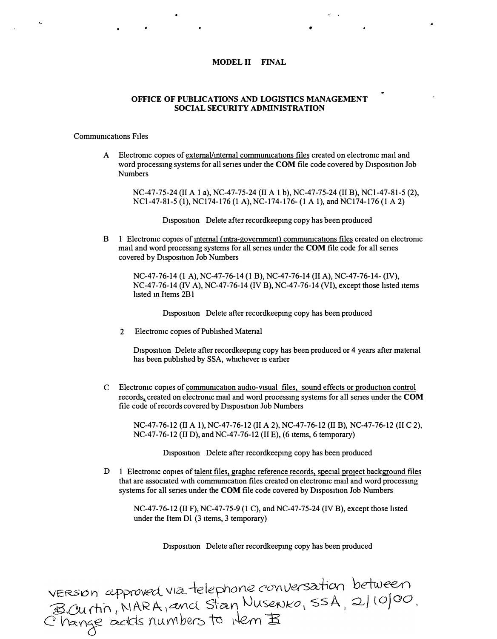#### MODEL II FINAL

### OFFICE OF PUBLICATIONS AND LOGISTICS MANAGEMENT SOCIAL SECURITY ADMINISTRATION

#### Commumcattons Files

A Electromic copies of external/internal communications files created on electronic mail and word processing systems for all series under the COM file code covered by Disposition Job Numbers

NC-47-75-24 (II A 1 a), NC-47-75-24 (II A 1 b), NC-47-75-24 (II B), NCl-47-81-5 (2), NCl-47-81-5 (1), NC174-176 (1 A), NC-174-176-(1 A 1), and NC174-176 (1 A 2)

Disposition Delete after recordkeeping copy has been produced

B 1 Electronic copies of <u>internal (intra-government)</u> communications files created on electronic mail and word processmg systems for all senes under the COM file code for all senes covered by Disposition Job Numbers

NC-47-76-14 (1 A), NC-47-76-14 (1 B), NC-47-76-14 (II A), NC-47-76-14-(IV), NC-47-76-14 (IV A), NC-47-76-14 (IV B), NC-47-76-14 (VI), except those hsted items hsted m Items 2B 1

Disposition Delete after recordkeeping copy has been produced

2 Electromc copies of Pubhshed Matenal

D<sub>1</sub>sposition Delete after recordkeeping copy has been produced or 4 years after material has been published by SSA, whichever is earlier

C Electronic copies of communication audio-visual files, sound effects or production control records, created on electromc mail and word processmg systems for all senes under the COM file code of records covered by Disposition Job Numbers

NC-47-76-12 (II A 1), NC-47-76-12 (II A 2), NC-47-76-12 (II B), NC-47-76-12 (II C 2), NC-47-76-12 (II D), and NC-47-76-12 (II E), (6 items, 6 temporary)

Disposition Delete after recordkeeping copy has been produced

D 1 Electronic copies of talent files, graphic reference records, special project background files that are associated with communication files created on electronic mail and word processing systems for all series under the COM file code covered by Disposition Job Numbers

NC-47-76-12 (II F), NC-47-75-9 (1 C), and NC-47-75-24 (IV B), except those hsted under the Item Dl (3 items, 3 temporary)

Disposition Delete after recordkeeping copy has been produced

VERSION approved via telephone conversation between<br>B.Ourtin, NARA, and Stan Nusenko, SSA, 2/10/00.<br>C'hange adds numbers to item B